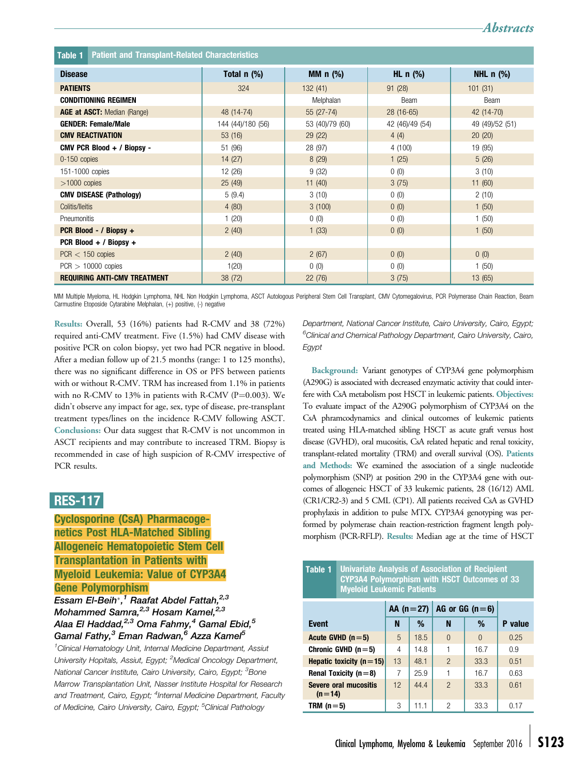<span id="page-0-0"></span>

| <b>Patient and Transplant-Related Characteristics</b><br>Table 1 |                   |                            |                 |                                    |  |  |  |  |
|------------------------------------------------------------------|-------------------|----------------------------|-----------------|------------------------------------|--|--|--|--|
| <b>Disease</b>                                                   | Total $n$ (%)     | MM $n$ (%)                 | HL $n$ (%)      | NHL $n$ $\left(\frac{9}{6}\right)$ |  |  |  |  |
| <b>PATIENTS</b>                                                  | 324               | 132(41)                    | 91(28)          | 101(31)                            |  |  |  |  |
| <b>CONDITIONING REGIMEN</b>                                      |                   | Melphalan                  | Beam            | Beam                               |  |  |  |  |
| <b>AGE at ASCT:</b> Median (Range)                               | 48 (14-74)        | $28(16-65)$<br>$55(27-74)$ |                 | 42 (14-70)                         |  |  |  |  |
| <b>GENDER: Female/Male</b>                                       | 144 (44)/180 (56) | 53 (40)/79 (60)            | 42 (46)/49 (54) |                                    |  |  |  |  |
| <b>CMV REACTIVATION</b>                                          | 53(16)            | 29(22)                     | 4(4)            | 20(20)                             |  |  |  |  |
| CMV PCR Blood + / Biopsy -                                       | 51 (96)           | 28 (97)                    | 4(100)          | 19 (95)                            |  |  |  |  |
| 0-150 copies                                                     | 14(27)            | 8(29)                      | 1(25)           | 5(26)                              |  |  |  |  |
| 151-1000 copies                                                  | 12 (26)           | 9(32)                      | 0(0)            | 3(10)                              |  |  |  |  |
| $>1000$ copies                                                   | 25(49)            | 11(40)                     | 3(75)           | 11(60)                             |  |  |  |  |
| <b>CMV DISEASE (Pathology)</b>                                   | 5(9.4)            | 3(10)                      | 0(0)            | 2(10)                              |  |  |  |  |
| Colitis/Ileitis                                                  | 4(80)             | 3(100)                     | 0(0)            | 1(50)                              |  |  |  |  |
| Pneumonitis                                                      | 1(20)             | 0(0)                       | 0(0)            | 1(50)                              |  |  |  |  |
| PCR Blood - / Biopsy +                                           | 2(40)             | 1(33)                      | 0(0)            | 1(50)                              |  |  |  |  |
| PCR Blood + / Biopsy +                                           |                   |                            |                 |                                    |  |  |  |  |
| $PCR < 150$ copies                                               | 2(40)             | 2(67)                      | 0(0)            | 0(0)                               |  |  |  |  |
| $PCR > 10000$ copies<br>1(20)                                    |                   | 0(0)<br>0(0)               |                 | 1(50)                              |  |  |  |  |
| <b>REQUIRING ANTI-CMV TREATMENT</b>                              | 38 (72)           | 22(76)                     | 3(75)           | 13(65)                             |  |  |  |  |

MM Multiple Myeloma, HL Hodgkin Lymphoma, NHL Non Hodgkin Lymphoma, ASCT Autologous Peripheral Stem Cell Transplant, CMV Cytomegalovirus, PCR Polymerase Chain Reaction, Beam Carmustine Etoposide Cytarabine Melphalan, (+) positive, (-) negative

Results: Overall, 53 (16%) patients had R-CMV and 38 (72%) required anti-CMV treatment. Five (1.5%) had CMV disease with positive PCR on colon biopsy, yet two had PCR negative in blood. After a median follow up of 21.5 months (range: 1 to 125 months), there was no significant difference in OS or PFS between patients with or without R-CMV. TRM has increased from 1.1% in patients with no R-CMV to 13% in patients with R-CMV ( $P=0.003$ ). We didn't observe any impact for age, sex, type of disease, pre-transplant treatment types/lines on the incidence R-CMV following ASCT. Conclusions: Our data suggest that R-CMV is not uncommon in ASCT recipients and may contribute to increased TRM. Biopsy is recommended in case of high suspicion of R-CMV irrespective of PCR results.

## RES-117

Cyclosporine (CsA) Pharmacogenetics Post HLA-Matched Sibling Allogeneic Hematopoietic Stem Cell Transplantation in Patients with Myeloid Leukemia: Value of CYP3A4 Gene Polymorphism

## Essam El-Beih<sup>\*,1</sup> Raafat Abdel Fattah,<sup>2,3</sup> Mohammed Samra, $^{2,3}$  Hosam Kamel, $^{2,3}$ Alaa El Haddad, $^{2,3}$  Oma Fahmy,<sup>4</sup> Gamal Ebid,<sup>5</sup> Gamal Fathy,<sup>3</sup> Eman Radwan,<sup>6</sup> Azza Kamel<sup>5</sup>

<sup>1</sup>Clinical Hematology Unit, Internal Medicine Department, Assiut University Hopitals, Assiut, Egypt; <sup>2</sup>Medical Oncology Department, National Cancer Institute, Cairo University, Cairo, Egypt; <sup>3</sup>Bone Marrow Transplantation Unit, Nasser Institute Hospital for Research and Treatment, Cairo, Egypt; <sup>4</sup>Internal Medicine Department, Faculty of Medicine, Cairo University, Cairo, Egypt; <sup>5</sup>Clinical Pathology

Department, National Cancer Institute, Cairo University, Cairo, Egypt; <sup>6</sup>Clinical and Chemical Pathology Department, Cairo University, Cairo, Egypt

Abstracts

Background: Variant genotypes of CYP3A4 gene polymorphism (A290G) is associated with decreased enzymatic activity that could interfere with CsA metabolism post HSCT in leukemic patients. Objectives: To evaluate impact of the A290G polymorphism of CYP3A4 on the CsA phramcodynamics and clinical outcomes of leukemic patients treated using HLA-matched sibling HSCT as acute graft versus host disease (GVHD), oral mucositis, CsA related hepatic and renal toxicity, transplant-related mortality (TRM) and overall survival (OS). Patients and Methods: We examined the association of a single nucleotide polymorphism (SNP) at position 290 in the CYP3A4 gene with outcomes of allogeneic HSCT of 33 leukemic patients, 28 (16/12) AML (CR1/CR2-3) and 5 CML (CP1). All patients received CsA as GVHD prophylaxis in addition to pulse MTX. CYP3A4 genotyping was performed by polymerase chain reaction-restriction fragment length polymorphism (PCR-RFLP). Results: Median age at the time of HSCT

| Univariate Analysis of Association of Recipient<br>Table 1<br>CYP3A4 Polymorphism with HSCT Outcomes of 33<br><b>Myeloid Leukemic Patients</b> |             |      |                  |          |         |  |  |  |
|------------------------------------------------------------------------------------------------------------------------------------------------|-------------|------|------------------|----------|---------|--|--|--|
|                                                                                                                                                | $AA (n=27)$ |      | AG or GG $(n=6)$ |          |         |  |  |  |
| <b>Event</b>                                                                                                                                   | N           | %    | N                | %        | P value |  |  |  |
| Acute GVHD $(n=5)$                                                                                                                             | 5           | 18.5 | $\Omega$         | $\Omega$ | 0.25    |  |  |  |
| Chronic GVHD $(n=5)$                                                                                                                           | 4           | 14.8 |                  | 16.7     | 0.9     |  |  |  |
| Hepatic toxicity ( $n = 15$ )                                                                                                                  | 13          | 48.1 | $\mathcal{P}$    | 33.3     | 0.51    |  |  |  |
| Renal Toxicity ( $n = 8$ )                                                                                                                     | 7           | 25.9 |                  | 16.7     | 0.63    |  |  |  |
| <b>Severe oral mucositis</b><br>$(n=14)$                                                                                                       | 12          | 44.4 | $\mathfrak{p}$   | 33.3     | 0.61    |  |  |  |
| TRM $(n=5)$                                                                                                                                    | 3           | 11.1 | 2                | 33.3     | 0.17    |  |  |  |